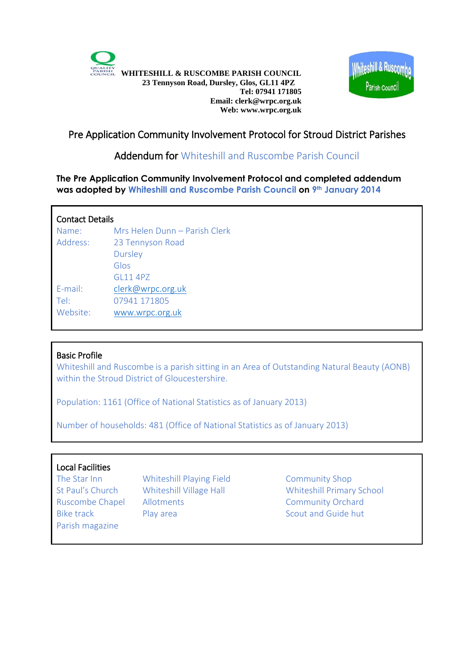



# Pre Application Community Involvement Protocol for Stroud District Parishes

## Addendum for Whiteshill and Ruscombe Parish Council

**The Pre Application Community Involvement Protocol and completed addendum was adopted by Whiteshill and Ruscombe Parish Council on 9th January 2014**

### Contact Details

| Name:    | Mrs Helen Dunn - Parish Clerk |
|----------|-------------------------------|
| Address: | 23 Tennyson Road              |
|          | <b>Dursley</b>                |
|          | Glos                          |
|          | GI 11 4P7                     |
| E-mail:  | clerk@wrpc.org.uk             |
| Tel:     | 07941 171805                  |
| Website: | www.wrpc.org.uk               |
|          |                               |

### Basic Profile

Whiteshill and Ruscombe is a parish sitting in an Area of Outstanding Natural Beauty (AONB) within the Stroud District of Gloucestershire.

Population: 1161 (Office of National Statistics as of January 2013)

Number of households: 481 (Office of National Statistics as of January 2013)

### Local Facilities

Parish magazine

The Star Inn Whiteshill Playing Field Community Shop Ruscombe Chapel Allotments Community Orchard Bike track Play area Scout and Guide hut

St Paul's Church Whiteshill Village Hall Whiteshill Primary School